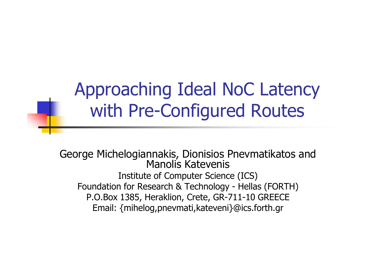Approaching Ideal NoC Latencywith Pre-Configured Routes

George Michelogiannakis, Dionisios Pnevmatikatos and Manolis Katevenis Institute of Computer Science (ICS)Foundation for Research & Technology - Hellas (FORTH)<br>P O Box 1385, Heraklion, Crete, GR-711-10 GREECE P.O.Box 1385, Heraklion, Crete, GR-711-10 GREECEEmail: {mihelog,pnevmati,kateveni}@ics.forth.gr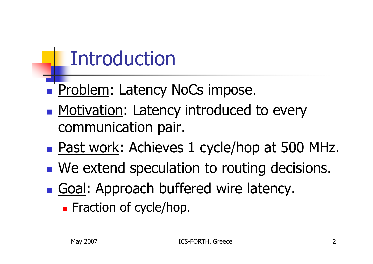## Introduction

- **Repries Problem: Latency NoCs impose.**
- **Motivation: Latency introduced to every** communication pair.
- **Service Service Past work: Achieves 1 cycle/hop at 500 MHz.**
- **Ne extend speculation to routing decisions.**
- **Goal: Approach buffered wire latency.** 
	- **Exaction of cycle/hop.**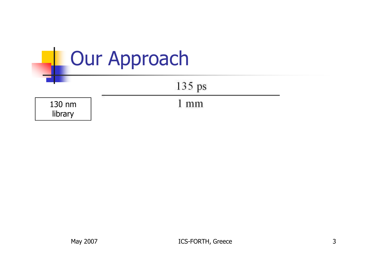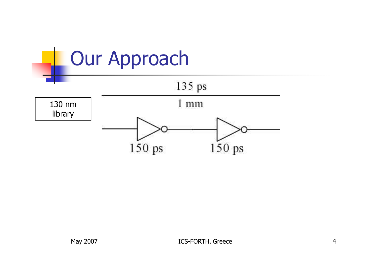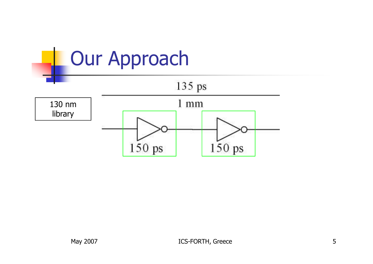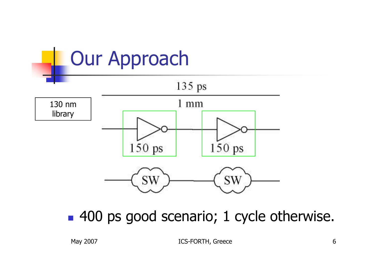

■ 400 ps good scenario; 1 cycle otherwise.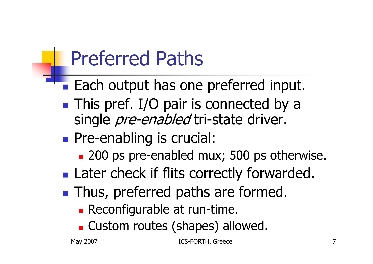## Preferred Paths

- **STATE OF STATE OF STATE OF STATE OF STATE OF STATE OF STATE OF STATE OF STATE OF STATE OF STATE OF STATE OF S Each output has one preferred input.**
- **Service Service This pref.** I/O pair is connected by a single *pre-enabled* tri-state driver.
- **Pre-enabling is crucial:** 
	- **200 ps pre-enabled mux; 500 ps otherwise.**
- **Service Service Later check if flits correctly forwarded.**
- **Thus, preferred paths are formed.** 
	- **Reconfigurable at run-time.**
	- m. **Example Custom routes (shapes) allowed.**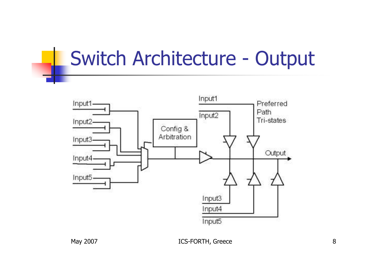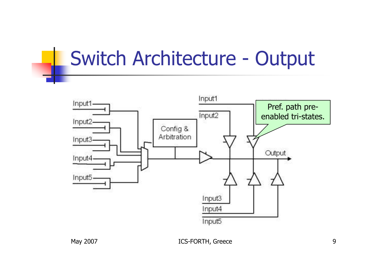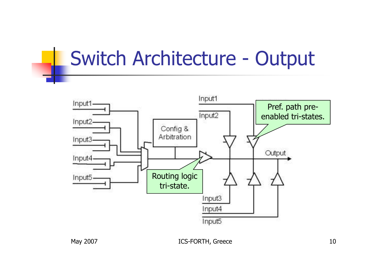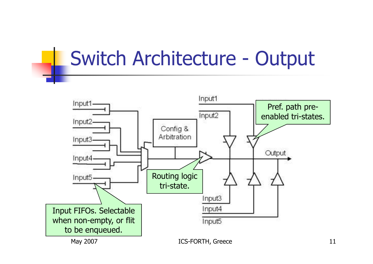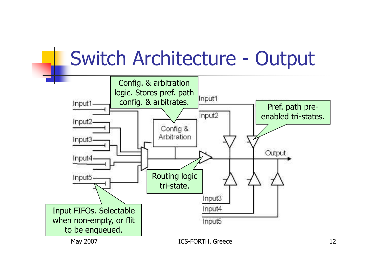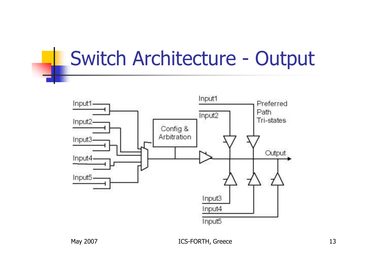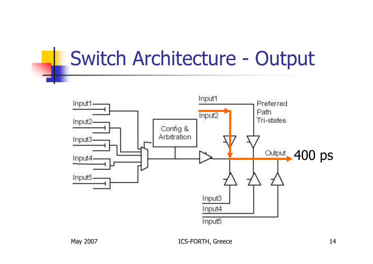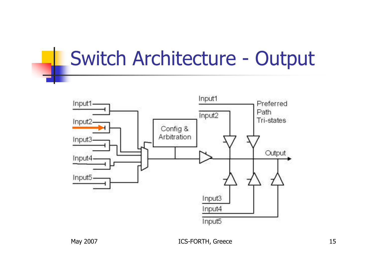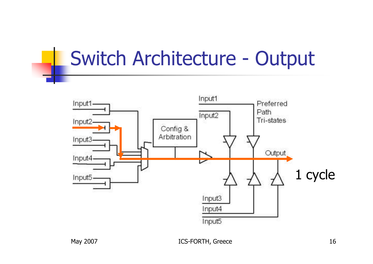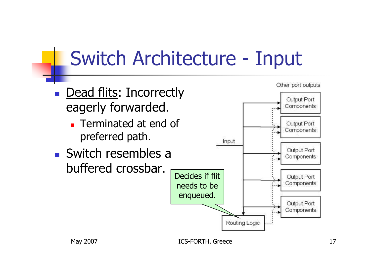- b. **Dead flits: Incorrectly** eagerly forwarded.
	- × **Terminated at end of** preferred path.
- b. **Switch resembles a** buffered crossbar.

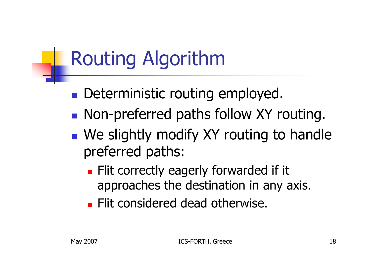## Routing Algorithm

- $\mathbb{R}^3$ **Deterministic routing employed.**
- $\mathbb{R}^3$ **Non-preferred paths follow XY routing.**
- $\mathbb{R}^n$ **Notainary 19 and 10 Fearth Propelly modify XY routing to handle Integration** preferred paths:
	- $\mathbb{R}^2$ **Flit correctly eagerly forwarded if it** approaches the destination in any axis.
	- $\mathbb{R}^2$ **Flit considered dead otherwise.**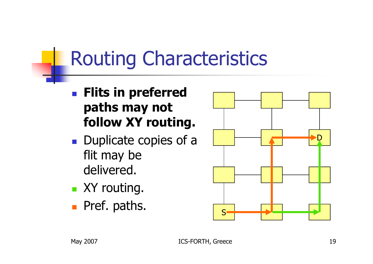## Routing Characteristics

- <u>ra</u> **Flits in preferred** paths may not follow XY routing.
- **Duplicate copies of a** flit may be delivered.
- T. **x** XY routing.
- <u>ra</u> **Pref. paths.**

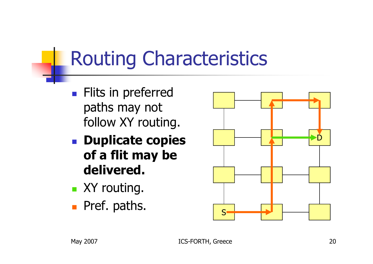## Routing Characteristics

- <u>ra</u> **Flits in preferred** paths may not follow XY routing.
- **Duplicate copies** of a flit may be delivered.
- T. **x** XY routing.
- <u>ra</u> **Pref. paths.**

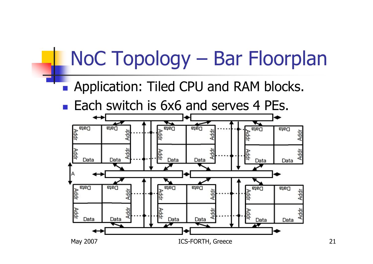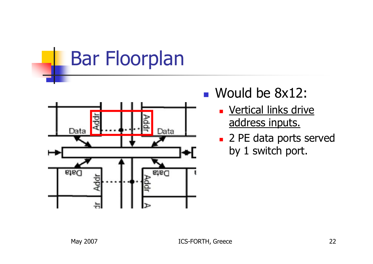Bar Floorplan



- $\Box$ ■ Would be 8x12:
	- × <u>- Vertical links drive</u> address inputs.
	- **2 PE data ports served** by 1 switch port.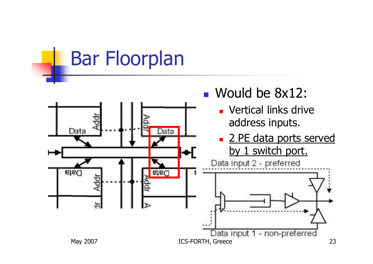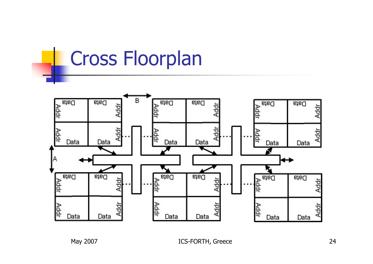#### Cross Floorplan

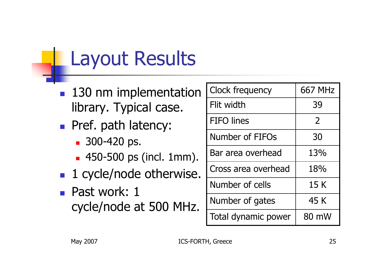## Layout Results

- b. **130 nm implementation** library. Typical case.
- b. **Pref. path latency:** 
	- П 300-420 ps.
	- × 450-500 ps (incl. 1mm).
- b. ■ 1 cycle/node otherwise.
- $\overline{\mathbb{R}}$  Past work: 1 cycle/node at 500 MHz.

| <b>Clock frequency</b> | <b>667 MHz</b> |
|------------------------|----------------|
| Flit width             | 39             |
| <b>FIFO</b> lines      | $\overline{2}$ |
| Number of FIFOs        | 30             |
| Bar area overhead      | 13%            |
| Cross area overhead    | 18%            |
| Number of cells        | 15 K           |
| Number of gates        | 45 K           |
| Total dynamic power    | 80 mW          |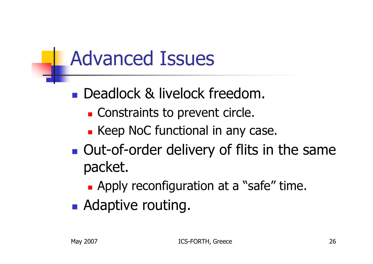## Advanced Issues

- $\mathbb{R}^3$ **Deadlock & livelock freedom.** 
	- Π **Constraints to prevent circle.**
	- e. **Example 2 Keep NoC functional in any case.**
- $\mathbb{R}^3$ **Out-of-order delivery of flits in the same** packet.
	- **Apply reconfiguration at a "safe" time.**
- **Adaptive routing.**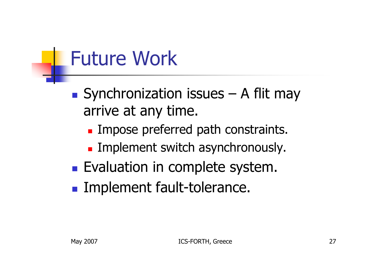#### Future Work

- $\mathbb{R}^3$ Synchronization issues  $-$  A flit may<br>arrive at any time arrive at any time.
	- e. **Impose preferred path constraints.**
	- Π **Implement switch asynchronously.**
- $\mathbb{R}^3$ **Evaluation in complete system.**
- $\mathbb{R}^3$ **Implement fault-tolerance.**